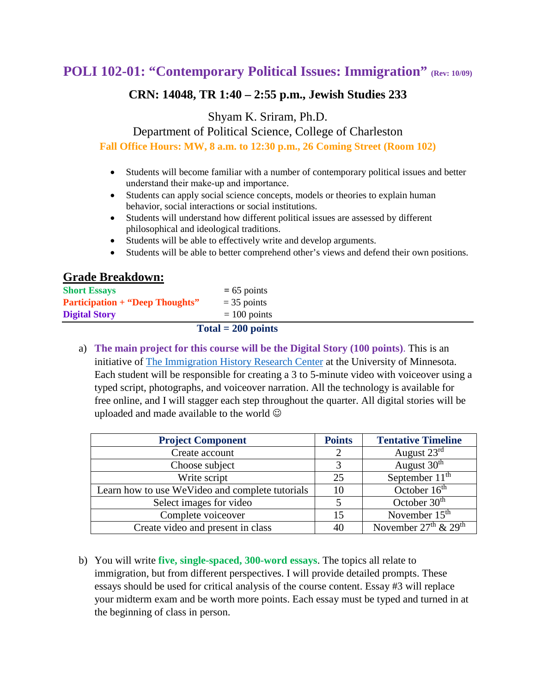# **POLI 102-01: "Contemporary Political Issues: Immigration" (Rev: 10/09)**

## **CRN: 14048, TR 1:40 – 2:55 p.m., Jewish Studies 233**

Shyam K. Sriram, Ph.D.

Department of Political Science, College of Charleston **Fall Office Hours: MW, 8 a.m. to 12:30 p.m., 26 Coming Street (Room 102)**

- Students will become familiar with a number of contemporary political issues and better understand their make‐up and importance.
- Students can apply social science concepts, models or theories to explain human behavior, social interactions or social institutions.
- Students will understand how different political issues are assessed by different philosophical and ideological traditions.
- Students will be able to effectively write and develop arguments.
- Students will be able to better comprehend other's views and defend their own positions.

## **Grade Breakdown:**

| $Total = 200 points$                   |                |  |  |  |
|----------------------------------------|----------------|--|--|--|
| <b>Digital Story</b>                   | $= 100$ points |  |  |  |
| <b>Participation + "Deep Thoughts"</b> | $=$ 35 points  |  |  |  |
| <b>Short Essays</b>                    | $= 65$ points  |  |  |  |
|                                        |                |  |  |  |

a) **The main project for this course will be the Digital Story (100 points)**. This is an initiative of [The Immigration History Research Center](https://cla.umn.edu/ihrc/immigrant-stories/about-project) at the University of Minnesota. Each student will be responsible for creating a 3 to 5-minute video with voiceover using a typed script, photographs, and voiceover narration. All the technology is available for free online, and I will stagger each step throughout the quarter. All digital stories will be uploaded and made available to the world

| <b>Project Component</b>                        | <b>Points</b> | <b>Tentative Timeline</b> |
|-------------------------------------------------|---------------|---------------------------|
| Create account                                  |               | August $23^{\text{rd}}$   |
| Choose subject                                  |               | August 30 <sup>th</sup>   |
| Write script                                    | 25            | September $11th$          |
| Learn how to use WeVideo and complete tutorials | 10            | October 16 <sup>th</sup>  |
| Select images for video                         |               | October $30th$            |
| Complete voiceover                              | 15            | November $15th$           |
| Create video and present in class               | 40            | November $27th$ & $29th$  |

b) You will write **five, single-spaced, 300-word essays**. The topics all relate to immigration, but from different perspectives. I will provide detailed prompts. These essays should be used for critical analysis of the course content. Essay #3 will replace your midterm exam and be worth more points. Each essay must be typed and turned in at the beginning of class in person.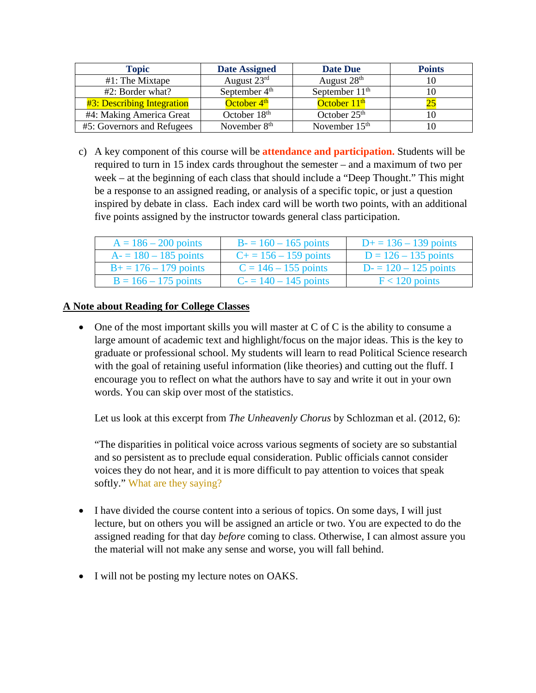| <b>Topic</b>                      | <b>Date Assigned</b>     | <b>Date Due</b>            | <b>Points</b> |
|-----------------------------------|--------------------------|----------------------------|---------------|
| #1: The Mixtape                   | August 23rd              | August 28 <sup>th</sup>    | 10            |
| $#2$ : Border what?               | September $4th$          | September 11 <sup>th</sup> | 10            |
| <b>#3: Describing Integration</b> | October 4 <sup>th</sup>  | October 11 <sup>th</sup>   |               |
| #4: Making America Great          | October 18 <sup>th</sup> | October $25th$             |               |
| #5: Governors and Refugees        | November 8 <sup>th</sup> | November 15 <sup>th</sup>  |               |

c) A key component of this course will be **attendance and participation.** Students will be required to turn in 15 index cards throughout the semester – and a maximum of two per week – at the beginning of each class that should include a "Deep Thought." This might be a response to an assigned reading, or analysis of a specific topic, or just a question inspired by debate in class. Each index card will be worth two points, with an additional five points assigned by the instructor towards general class participation.

| $A = 186 - 200$ points   | $B = 160 - 165$ points       | $D+ = 136 - 139$ points |
|--------------------------|------------------------------|-------------------------|
| $A = 180 - 185$ points   | $C_{\pm} = 156 - 159$ points | $D = 126 - 135$ points  |
| $B_1 = 176 - 179$ points | $C = 146 - 155$ points       | $D = 120 - 125$ points  |
| $B = 166 - 175$ points   | $C = 140 - 145$ points       | $F < 120$ points        |

### **A Note about Reading for College Classes**

• One of the most important skills you will master at C of C is the ability to consume a large amount of academic text and highlight/focus on the major ideas. This is the key to graduate or professional school. My students will learn to read Political Science research with the goal of retaining useful information (like theories) and cutting out the fluff. I encourage you to reflect on what the authors have to say and write it out in your own words. You can skip over most of the statistics.

Let us look at this excerpt from *The Unheavenly Chorus* by Schlozman et al. (2012, 6):

"The disparities in political voice across various segments of society are so substantial and so persistent as to preclude equal consideration. Public officials cannot consider voices they do not hear, and it is more difficult to pay attention to voices that speak softly." What are they saying?

- I have divided the course content into a serious of topics. On some days, I will just lecture, but on others you will be assigned an article or two. You are expected to do the assigned reading for that day *before* coming to class. Otherwise, I can almost assure you the material will not make any sense and worse, you will fall behind.
- I will not be posting my lecture notes on OAKS.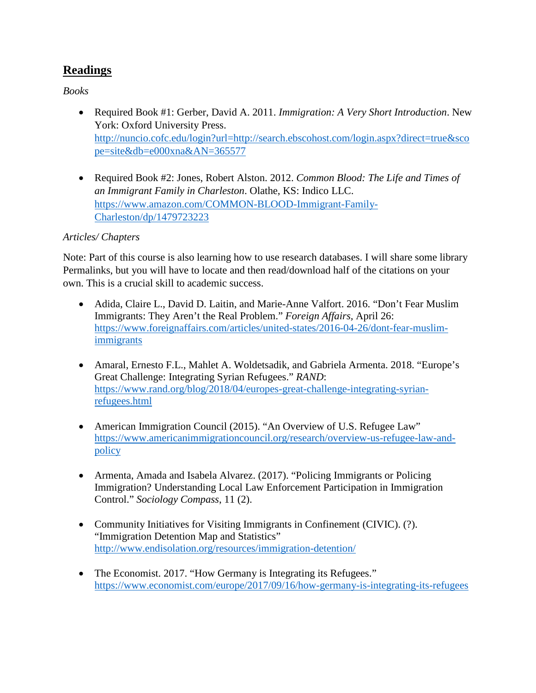# **Readings**

*Books*

- Required Book #1: Gerber, David A. 2011. *Immigration: A Very Short Introduction*. New York: Oxford University Press. [http://nuncio.cofc.edu/login?url=http://search.ebscohost.com/login.aspx?direct=true&sco](http://nuncio.cofc.edu/login?url=http://search.ebscohost.com/login.aspx?direct=true&scope=site&db=e000xna&AN=365577) [pe=site&db=e000xna&AN=365577](http://nuncio.cofc.edu/login?url=http://search.ebscohost.com/login.aspx?direct=true&scope=site&db=e000xna&AN=365577)
- Required Book #2: Jones, Robert Alston. 2012. *Common Blood: The Life and Times of an Immigrant Family in Charleston*. Olathe, KS: Indico LLC. [https://www.amazon.com/COMMON-BLOOD-Immigrant-Family-](https://www.amazon.com/COMMON-BLOOD-Immigrant-Family-Charleston/dp/1479723223)[Charleston/dp/1479723223](https://www.amazon.com/COMMON-BLOOD-Immigrant-Family-Charleston/dp/1479723223)

### *Articles/ Chapters*

Note: Part of this course is also learning how to use research databases. I will share some library Permalinks, but you will have to locate and then read/download half of the citations on your own. This is a crucial skill to academic success.

- Adida, Claire L., David D. Laitin, and Marie-Anne Valfort. 2016. "Don't Fear Muslim Immigrants: They Aren't the Real Problem." *Foreign Affairs,* April 26: [https://www.foreignaffairs.com/articles/united-states/2016-04-26/dont-fear-muslim](https://www.foreignaffairs.com/articles/united-states/2016-04-26/dont-fear-muslim-immigrants)[immigrants](https://www.foreignaffairs.com/articles/united-states/2016-04-26/dont-fear-muslim-immigrants)
- Amaral, Ernesto F.L., Mahlet A. Woldetsadik, and Gabriela Armenta. 2018. "Europe's Great Challenge: Integrating Syrian Refugees." *RAND*: [https://www.rand.org/blog/2018/04/europes-great-challenge-integrating-syrian](https://www.rand.org/blog/2018/04/europes-great-challenge-integrating-syrian-refugees.html)[refugees.html](https://www.rand.org/blog/2018/04/europes-great-challenge-integrating-syrian-refugees.html)
- American Immigration Council (2015). "An Overview of U.S. Refugee Law" [https://www.americanimmigrationcouncil.org/research/overview-us-refugee-law-and](https://www.americanimmigrationcouncil.org/research/overview-us-refugee-law-and-policy)[policy](https://www.americanimmigrationcouncil.org/research/overview-us-refugee-law-and-policy)
- Armenta, Amada and Isabela Alvarez. (2017). "Policing Immigrants or Policing Immigration? Understanding Local Law Enforcement Participation in Immigration Control." *Sociology Compass*, 11 (2).
- Community Initiatives for Visiting Immigrants in Confinement (CIVIC). (?). "Immigration Detention Map and Statistics" <http://www.endisolation.org/resources/immigration-detention/>
- The Economist. 2017. "How Germany is Integrating its Refugees." <https://www.economist.com/europe/2017/09/16/how-germany-is-integrating-its-refugees>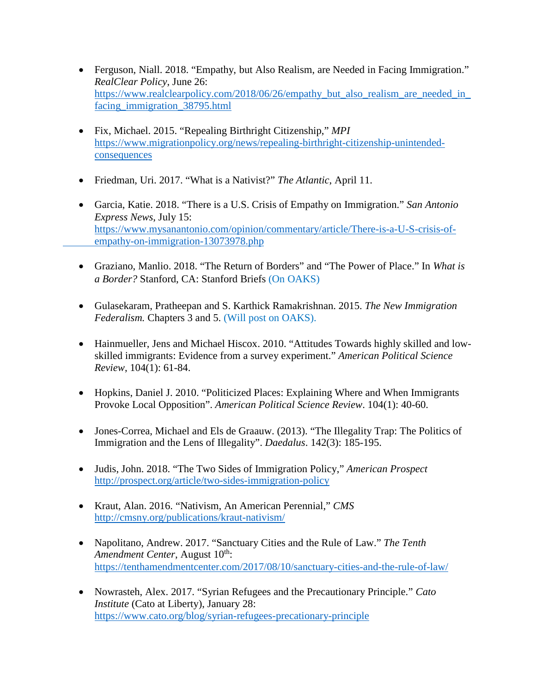- Ferguson, Niall. 2018. "Empathy, but Also Realism, are Needed in Facing Immigration." *RealClear Policy*, June 26: https://www.realclearpolicy.com/2018/06/26/empathy\_but\_also\_realism\_are\_needed\_in [facing\\_immigration\\_38795.html](https://www.realclearpolicy.com/2018/06/26/empathy_but_also_realism_are_needed_in_facing_immigration_38795.html)
- Fix, Michael. 2015. "Repealing Birthright Citizenship," *MPI* [https://www.migrationpolicy.org/news/repealing-birthright-citizenship-unintended](https://www.migrationpolicy.org/news/repealing-birthright-citizenship-unintended-consequences)[consequences](https://www.migrationpolicy.org/news/repealing-birthright-citizenship-unintended-consequences)
- Friedman, Uri. 2017. "What is a Nativist?" *The Atlantic*, April 11.
- Garcia, Katie. 2018. "There is a U.S. Crisis of Empathy on Immigration." *San Antonio Express News*, July 15: [https://www.mysanantonio.com/opinion/commentary/article/There-is-a-U-S-crisis-of](https://www.mysanantonio.com/opinion/commentary/article/There-is-a-U-S-crisis-of-%20%20%20%20%20%20%20%20%20%20%20%20%20%20empathy-on-immigration-13073978.php)   [empathy-on-immigration-13073978.php](https://www.mysanantonio.com/opinion/commentary/article/There-is-a-U-S-crisis-of-%20%20%20%20%20%20%20%20%20%20%20%20%20%20empathy-on-immigration-13073978.php)
- Graziano, Manlio. 2018. "The Return of Borders" and "The Power of Place." In *What is a Border?* Stanford, CA: Stanford Briefs (On OAKS)
- Gulasekaram, Pratheepan and S. Karthick Ramakrishnan. 2015. *The New Immigration Federalism.* Chapters 3 and 5. (Will post on OAKS).
- Hainmueller, Jens and Michael Hiscox. 2010. "Attitudes Towards highly skilled and lowskilled immigrants: Evidence from a survey experiment." *American Political Science Review*, 104(1): 61-84.
- Hopkins, Daniel J. 2010. "Politicized Places: Explaining Where and When Immigrants Provoke Local Opposition". *American Political Science Review*. 104(1): 40-60.
- Jones-Correa, Michael and Els de Graauw. (2013). "The Illegality Trap: The Politics of Immigration and the Lens of Illegality". *Daedalus*. 142(3): 185-195.
- Judis, John. 2018. "The Two Sides of Immigration Policy," *American Prospect* <http://prospect.org/article/two-sides-immigration-policy>
- Kraut, Alan. 2016. "Nativism, An American Perennial," *CMS* <http://cmsny.org/publications/kraut-nativism/>
- Napolitano, Andrew. 2017. "Sanctuary Cities and the Rule of Law." *The Tenth Amendment Center, August 10<sup>th</sup>:* <https://tenthamendmentcenter.com/2017/08/10/sanctuary-cities-and-the-rule-of-law/>
- Nowrasteh, Alex. 2017. "Syrian Refugees and the Precautionary Principle." *Cato Institute* (Cato at Liberty), January 28: <https://www.cato.org/blog/syrian-refugees-precationary-principle>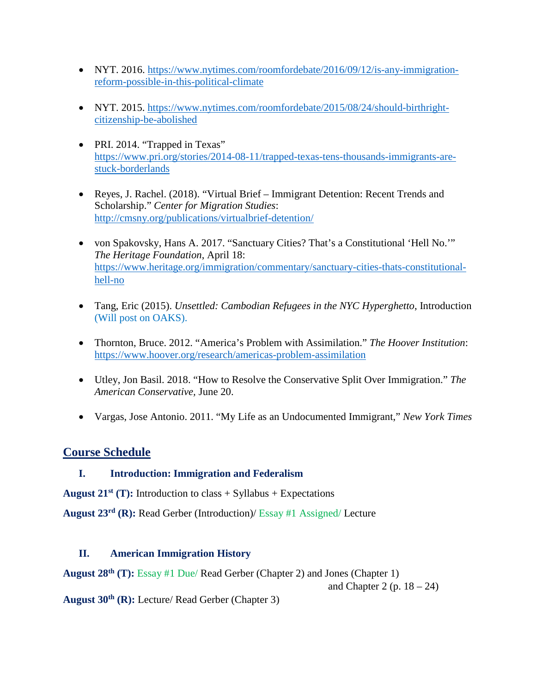- NYT. 2016. [https://www.nytimes.com/roomfordebate/2016/09/12/is-any-immigration](https://www.nytimes.com/roomfordebate/2016/09/12/is-any-immigration-reform-possible-in-this-political-climate)[reform-possible-in-this-political-climate](https://www.nytimes.com/roomfordebate/2016/09/12/is-any-immigration-reform-possible-in-this-political-climate)
- NYT. 2015. [https://www.nytimes.com/roomfordebate/2015/08/24/should-birthright](https://www.nytimes.com/roomfordebate/2015/08/24/should-birthright-citizenship-be-abolished)[citizenship-be-abolished](https://www.nytimes.com/roomfordebate/2015/08/24/should-birthright-citizenship-be-abolished)
- PRI. 2014. "Trapped in Texas" [https://www.pri.org/stories/2014-08-11/trapped-texas-tens-thousands-immigrants-are](https://www.pri.org/stories/2014-08-11/trapped-texas-tens-thousands-immigrants-are-stuck-borderlands)[stuck-borderlands](https://www.pri.org/stories/2014-08-11/trapped-texas-tens-thousands-immigrants-are-stuck-borderlands)
- Reyes, J. Rachel. (2018). "Virtual Brief Immigrant Detention: Recent Trends and Scholarship." *Center for Migration Studies*: <http://cmsny.org/publications/virtualbrief-detention/>
- von Spakovsky, Hans A. 2017. "Sanctuary Cities? That's a Constitutional 'Hell No.'" *The Heritage Foundation*, April 18: [https://www.heritage.org/immigration/commentary/sanctuary-cities-thats-constitutional](https://www.heritage.org/immigration/commentary/sanctuary-cities-thats-constitutional-hell-no)[hell-no](https://www.heritage.org/immigration/commentary/sanctuary-cities-thats-constitutional-hell-no)
- Tang, Eric (2015). *Unsettled: Cambodian Refugees in the NYC Hyperghetto*, Introduction (Will post on OAKS).
- Thornton, Bruce. 2012. "America's Problem with Assimilation." *The Hoover Institution*: <https://www.hoover.org/research/americas-problem-assimilation>
- Utley, Jon Basil. 2018. "How to Resolve the Conservative Split Over Immigration." *The American Conservative,* June 20.
- Vargas, Jose Antonio. 2011. "My Life as an Undocumented Immigrant," *New York Times*

## **Course Schedule**

## **I. Introduction: Immigration and Federalism**

**August 21<sup>st</sup>** (T): Introduction to class  $+$  Syllabus  $+$  Expectations

**August 23rd (R):** Read Gerber (Introduction)/ Essay #1 Assigned/ Lecture

## **II. American Immigration History**

**August 28th (T):** Essay #1 Due/ Read Gerber (Chapter 2) and Jones (Chapter 1)

and Chapter 2 (p.  $18 - 24$ )

**August 30th (R):** Lecture/ Read Gerber (Chapter 3)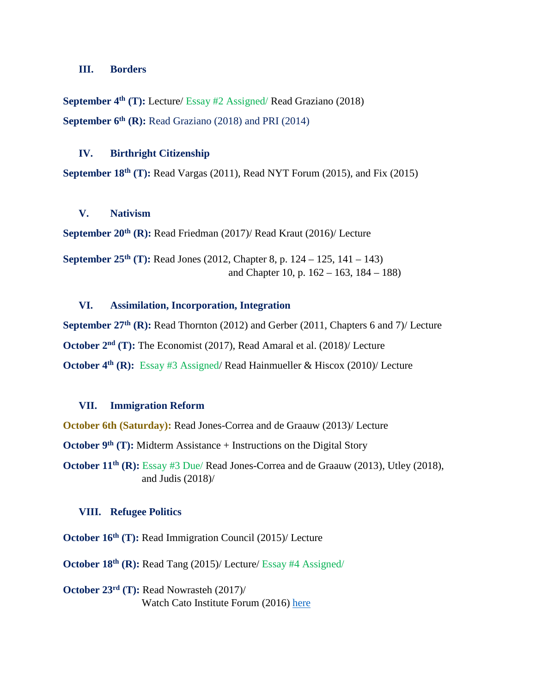#### **III. Borders**

**September 4th (T):** Lecture/ Essay #2 Assigned/ Read Graziano (2018) **September 6<sup>th</sup> (R):** Read Graziano (2018) and PRI (2014)

#### **IV. Birthright Citizenship**

**September 18th (T):** Read Vargas (2011), Read NYT Forum (2015), and Fix (2015)

#### **V. Nativism**

**September 20<sup>th</sup> (R):** Read Friedman (2017)/ Read Kraut (2016)/ Lecture

**September 25th (T):** Read Jones (2012, Chapter 8, p. 124 – 125, 141 – 143) and Chapter 10, p. 162 – 163, 184 – 188)

#### **VI. Assimilation, Incorporation, Integration**

**September 27<sup>th</sup> (R):** Read Thornton (2012) and Gerber (2011, Chapters 6 and 7)/ Lecture **October 2nd (T):** The Economist (2017), Read Amaral et al. (2018)/ Lecture **October 4<sup>th</sup> (R):** Essay #3 Assigned/ Read Hainmueller & Hiscox (2010)/ Lecture

#### **VII. Immigration Reform**

**October 6th (Saturday):** Read Jones-Correa and de Graauw (2013)/ Lecture

**October 9th (T):** Midterm Assistance + Instructions on the Digital Story

**October 11<sup>th</sup> (R):** Essay #3 Due/ Read Jones-Correa and de Graauw (2013), Utley (2018), and Judis (2018)/

#### **VIII. Refugee Politics**

**October 16<sup>th</sup>** (T): Read Immigration Council (2015)/ Lecture

**October 18th (R):** Read Tang (2015)/ Lecture/ Essay #4 Assigned/

**October 23rd (T):** Read Nowrasteh (2017)/ Watch Cato Institute Forum (2016) [here](https://www.cato.org/events/refugees-immigrants-national-security)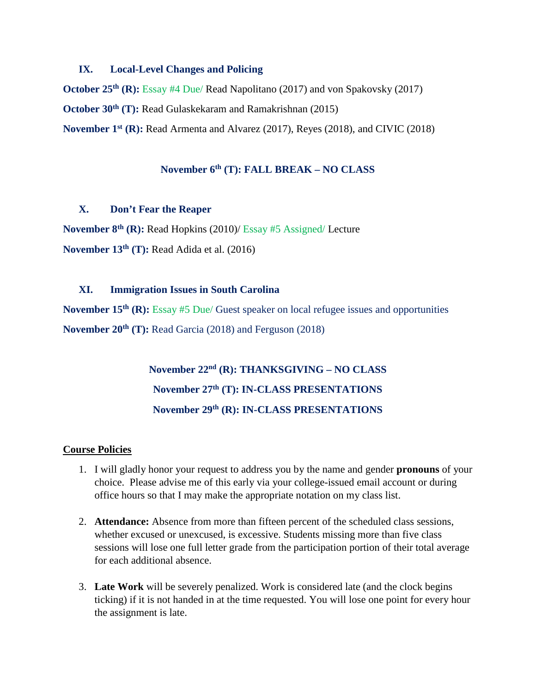#### **IX. Local-Level Changes and Policing**

**October 25th (R):** Essay #4 Due/ Read Napolitano (2017) and von Spakovsky (2017) **October 30<sup>th</sup>** (T): Read Gulaskekaram and Ramakrishnan (2015) **November 1st (R):** Read Armenta and Alvarez (2017), Reyes (2018), and CIVIC (2018)

## **November 6th (T): FALL BREAK – NO CLASS**

#### **X. Don't Fear the Reaper**

**November 8th (R):** Read Hopkins (2010)/ Essay #5 Assigned/ Lecture **November 13th (T):** Read Adida et al. (2016)

#### **XI. Immigration Issues in South Carolina**

**November 15th (R):** Essay #5 Due/ Guest speaker on local refugee issues and opportunities **November 20th (T):** Read Garcia (2018) and Ferguson (2018)

> **November 22nd (R): THANKSGIVING – NO CLASS November 27th (T): IN-CLASS PRESENTATIONS November 29th (R): IN-CLASS PRESENTATIONS**

#### **Course Policies**

- 1. I will gladly honor your request to address you by the name and gender **pronouns** of your choice. Please advise me of this early via your college-issued email account or during office hours so that I may make the appropriate notation on my class list.
- 2. **Attendance:** Absence from more than fifteen percent of the scheduled class sessions, whether excused or unexcused, is excessive. Students missing more than five class sessions will lose one full letter grade from the participation portion of their total average for each additional absence.
- 3. **Late Work** will be severely penalized. Work is considered late (and the clock begins ticking) if it is not handed in at the time requested. You will lose one point for every hour the assignment is late.